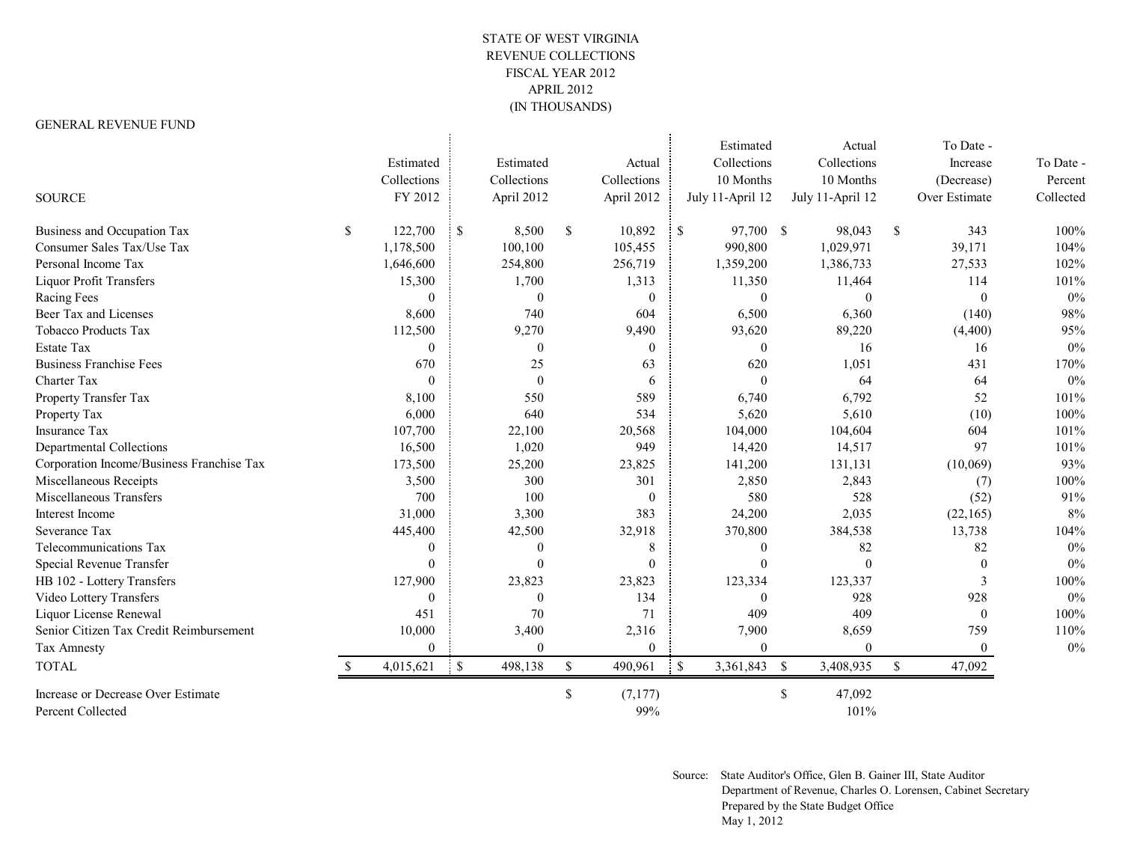## STATE OF WEST VIRGINIA REVENUE COLLECTIONS FISCAL YEAR 2012 APRIL 2012 (IN THOUSANDS)

## GENERAL REVENUE FUND

| <b>SOURCE</b>                                           | Estimated<br>Collections<br>FY 2012 |              | Estimated<br>Collections<br>April 2012 |              | Actual<br>Collections<br>April 2012 |              | Estimated<br>Collections<br>10 Months<br>July 11-April 12 |              | Actual<br>Collections<br>10 Months<br>July 11-April 12 |              | To Date -<br>Increase<br>(Decrease)<br>Over Estimate | To Date -<br>Percent<br>Collected |
|---------------------------------------------------------|-------------------------------------|--------------|----------------------------------------|--------------|-------------------------------------|--------------|-----------------------------------------------------------|--------------|--------------------------------------------------------|--------------|------------------------------------------------------|-----------------------------------|
| Business and Occupation Tax                             | \$<br>122,700                       | $\mathsf{S}$ | 8,500                                  | $\mathbb{S}$ | 10,892                              | $\mathbb{S}$ | 97,700 \$                                                 |              | 98,043                                                 | $\mathbb{S}$ | 343                                                  | 100%                              |
| Consumer Sales Tax/Use Tax                              | 1,178,500                           |              | 100,100                                |              | 105,455                             |              | 990,800                                                   |              | 1,029,971                                              |              | 39,171                                               | 104%                              |
| Personal Income Tax                                     | 1,646,600                           |              | 254,800                                |              | 256,719                             |              | 1,359,200                                                 |              | 1,386,733                                              |              | 27,533                                               | 102%                              |
| <b>Liquor Profit Transfers</b>                          | 15,300                              |              | 1,700                                  |              | 1,313                               |              | 11,350                                                    |              | 11,464                                                 |              | 114                                                  | 101%                              |
| Racing Fees                                             | $\theta$                            |              | $\theta$                               |              | $\theta$                            |              | $\theta$                                                  |              | $\theta$                                               |              | $\theta$                                             | $0\%$                             |
| Beer Tax and Licenses                                   | 8,600                               |              | 740                                    |              | 604                                 |              | 6,500                                                     |              | 6,360                                                  |              | (140)                                                | 98%                               |
| <b>Tobacco Products Tax</b>                             | 112,500                             |              | 9,270                                  |              | 9,490                               |              | 93,620                                                    |              | 89,220                                                 |              | (4, 400)                                             | 95%                               |
| <b>Estate Tax</b>                                       | $\theta$                            |              | $\theta$                               |              | $\theta$                            |              | $\Omega$                                                  |              | 16                                                     |              | 16                                                   | $0\%$                             |
| <b>Business Franchise Fees</b>                          | 670                                 |              | 25                                     |              | 63                                  |              | 620                                                       |              | 1,051                                                  |              | 431                                                  | 170%                              |
| Charter Tax                                             | $\theta$                            |              | $\theta$                               |              | 6                                   |              | $\theta$                                                  |              | 64                                                     |              | 64                                                   | 0%                                |
| Property Transfer Tax                                   | 8,100                               |              | 550                                    |              | 589                                 |              | 6,740                                                     |              | 6,792                                                  |              | 52                                                   | 101%                              |
| Property Tax                                            | 6,000                               |              | 640                                    |              | 534                                 |              | 5,620                                                     |              | 5,610                                                  |              | (10)                                                 | 100%                              |
| <b>Insurance Tax</b>                                    | 107,700                             |              | 22,100                                 |              | 20,568                              |              | 104,000                                                   |              | 104,604                                                |              | 604                                                  | 101%                              |
| Departmental Collections                                | 16,500                              |              | 1,020                                  |              | 949                                 |              | 14,420                                                    |              | 14,517                                                 |              | 97                                                   | 101%                              |
| Corporation Income/Business Franchise Tax               | 173,500                             |              | 25,200                                 |              | 23,825                              |              | 141,200                                                   |              | 131,131                                                |              | (10,069)                                             | 93%                               |
| Miscellaneous Receipts                                  | 3,500                               |              | 300                                    |              | 301                                 |              | 2,850                                                     |              | 2,843                                                  |              | (7)                                                  | 100%                              |
| Miscellaneous Transfers                                 | 700                                 |              | 100                                    |              | $\theta$                            |              | 580                                                       |              | 528                                                    |              | (52)                                                 | 91%                               |
| Interest Income                                         | 31,000                              |              | 3,300                                  |              | 383                                 |              | 24,200                                                    |              | 2,035                                                  |              | (22, 165)                                            | 8%                                |
| Severance Tax                                           | 445,400                             |              | 42,500                                 |              | 32,918                              |              | 370,800                                                   |              | 384,538                                                |              | 13,738                                               | 104%                              |
| Telecommunications Tax                                  | $\mathbf{0}$                        |              | $\overline{0}$                         |              | 8                                   |              | $\theta$                                                  |              | 82                                                     |              | 82                                                   | $0\%$                             |
| Special Revenue Transfer                                | $\theta$                            |              | $\theta$                               |              | $\Omega$                            |              | $\Omega$                                                  |              | $\theta$                                               |              |                                                      | 0%                                |
| HB 102 - Lottery Transfers                              | 127,900                             |              | 23,823                                 |              | 23,823                              |              | 123,334                                                   |              | 123,337                                                |              | 3                                                    | 100%                              |
| Video Lottery Transfers                                 | $\theta$                            |              | $\theta$                               |              | 134                                 |              | $\Omega$                                                  |              | 928                                                    |              | 928                                                  | 0%                                |
| Liquor License Renewal                                  | 451                                 |              | 70                                     |              | 71                                  |              | 409                                                       |              | 409                                                    |              | $\theta$                                             | 100%                              |
| Senior Citizen Tax Credit Reimbursement                 | 10,000                              |              | 3,400                                  |              | 2,316                               |              | 7,900                                                     |              | 8,659                                                  |              | 759                                                  | 110%                              |
| Tax Amnesty                                             | $\mathbf{0}$                        |              | $\overline{0}$                         |              | $\theta$                            |              | $\theta$                                                  |              | $\overline{0}$                                         |              | $\mathbf{0}$                                         | $0\%$                             |
| <b>TOTAL</b>                                            | 4,015,621                           | $\cdot$ \$   | 498,138                                | $\mathbb{S}$ | 490,961                             | $\mathbf S$  | 3,361,843                                                 | $\mathbb{S}$ | 3,408,935                                              | $\mathbb{S}$ | 47,092                                               |                                   |
| Increase or Decrease Over Estimate<br>Percent Collected |                                     |              |                                        | \$           | (7,177)<br>99%                      |              |                                                           | \$           | 47,092<br>101%                                         |              |                                                      |                                   |

Source: State Auditor's Office, Glen B. Gainer III, State Auditor Department of Revenue, Charles O. Lorensen, Cabinet Secretary Prepared by the State Budget Office May 1, 2012